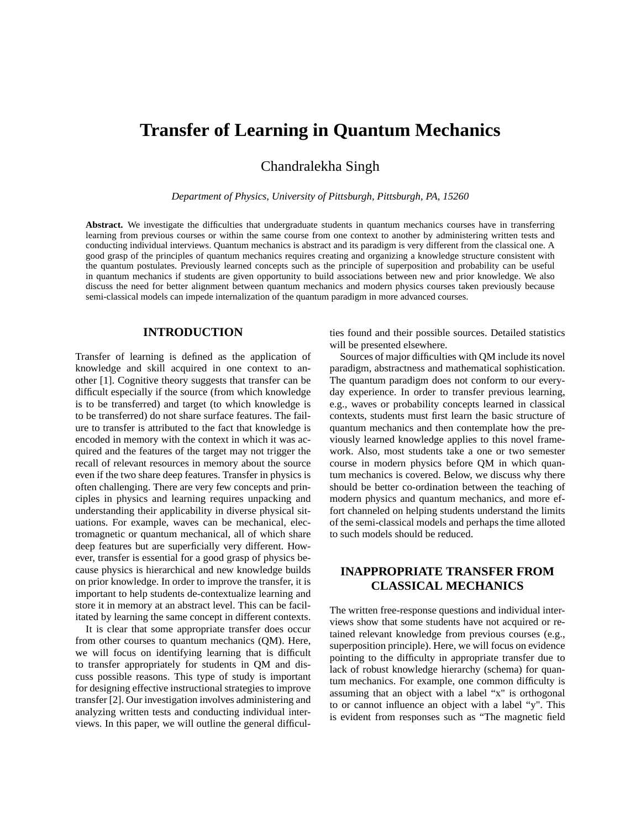# **Transfer of Learning in Quantum Mechanics**

Chandralekha Singh

*Department of Physics, University of Pittsburgh, Pittsburgh, PA, 15260*

**Abstract.** We investigate the difficulties that undergraduate students in quantum mechanics courses have in transferring learning from previous courses or within the same course from one context to another by administering written tests and conducting individual interviews. Quantum mechanics is abstract and its paradigm is very different from the classical one. A good grasp of the principles of quantum mechanics requires creating and organizing a knowledge structure consistent with the quantum postulates. Previously learned concepts such as the principle of superposition and probability can be useful in quantum mechanics if students are given opportunity to build associations between new and prior knowledge. We also discuss the need for better alignment between quantum mechanics and modern physics courses taken previously because semi-classical models can impede internalization of the quantum paradigm in more advanced courses.

#### **INTRODUCTION**

Transfer of learning is defined as the application of knowledge and skill acquired in one context to another [1]. Cognitive theory suggests that transfer can be difficult especially if the source (from which knowledge is to be transferred) and target (to which knowledge is to be transferred) do not share surface features. The failure to transfer is attributed to the fact that knowledge is encoded in memory with the context in which it was acquired and the features of the target may not trigger the recall of relevant resources in memory about the source even if the two share deep features. Transfer in physics is often challenging. There are very few concepts and principles in physics and learning requires unpacking and understanding their applicability in diverse physical situations. For example, waves can be mechanical, electromagnetic or quantum mechanical, all of which share deep features but are superficially very different. However, transfer is essential for a good grasp of physics because physics is hierarchical and new knowledge builds on prior knowledge. In order to improve the transfer, it is important to help students de-contextualize learning and store it in memory at an abstract level. This can be facilitated by learning the same concept in different contexts.

It is clear that some appropriate transfer does occur from other courses to quantum mechanics (QM). Here, we will focus on identifying learning that is difficult to transfer appropriately for students in QM and discuss possible reasons. This type of study is important for designing effective instructional strategies to improve transfer [2]. Our investigation involves administering and analyzing written tests and conducting individual interviews. In this paper, we will outline the general difficulties found and their possible sources. Detailed statistics will be presented elsewhere.

Sources of major difficulties with QM include its novel paradigm, abstractness and mathematical sophistication. The quantum paradigm does not conform to our everyday experience. In order to transfer previous learning, e.g., waves or probability concepts learned in classical contexts, students must first learn the basic structure of quantum mechanics and then contemplate how the previously learned knowledge applies to this novel framework. Also, most students take a one or two semester course in modern physics before QM in which quantum mechanics is covered. Below, we discuss why there should be better co-ordination between the teaching of modern physics and quantum mechanics, and more effort channeled on helping students understand the limits of the semi-classical models and perhaps the time alloted to such models should be reduced.

# **INAPPROPRIATE TRANSFER FROM CLASSICAL MECHANICS**

The written free-response questions and individual interviews show that some students have not acquired or retained relevant knowledge from previous courses (e.g., superposition principle). Here, we will focus on evidence pointing to the difficulty in appropriate transfer due to lack of robust knowledge hierarchy (schema) for quantum mechanics. For example, one common difficulty is assuming that an object with a label "x" is orthogonal to or cannot influence an object with a label "y". This is evident from responses such as "The magnetic field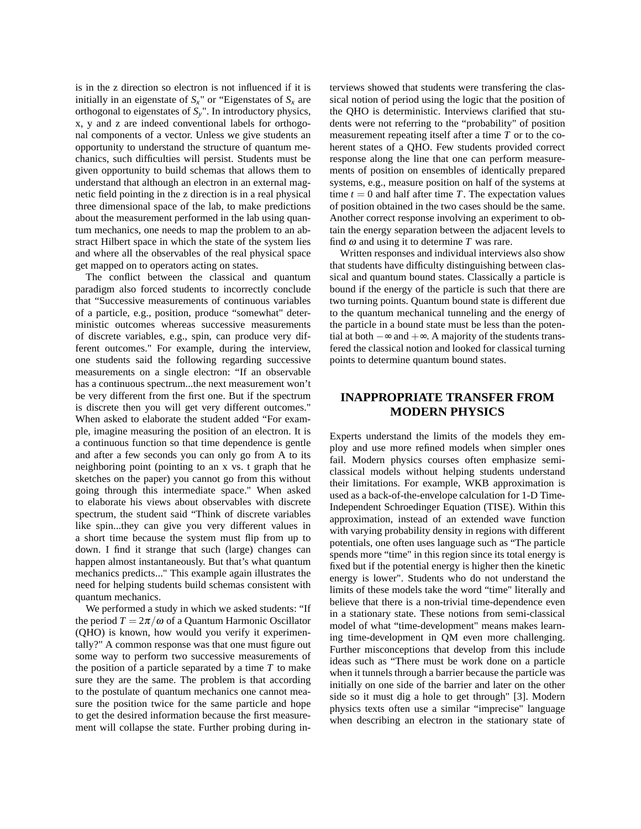is in the z direction so electron is not influenced if it is initially in an eigenstate of  $S_x$ " or "Eigenstates of  $S_x$  are orthogonal to eigenstates of *Sy*". In introductory physics, x, y and z are indeed conventional labels for orthogonal components of a vector. Unless we give students an opportunity to understand the structure of quantum mechanics, such difficulties will persist. Students must be given opportunity to build schemas that allows them to understand that although an electron in an external magnetic field pointing in the z direction is in a real physical three dimensional space of the lab, to make predictions about the measurement performed in the lab using quantum mechanics, one needs to map the problem to an abstract Hilbert space in which the state of the system lies and where all the observables of the real physical space get mapped on to operators acting on states.

The conflict between the classical and quantum paradigm also forced students to incorrectly conclude that "Successive measurements of continuous variables of a particle, e.g., position, produce "somewhat" deterministic outcomes whereas successive measurements of discrete variables, e.g., spin, can produce very different outcomes." For example, during the interview, one students said the following regarding successive measurements on a single electron: "If an observable has a continuous spectrum...the next measurement won't be very different from the first one. But if the spectrum is discrete then you will get very different outcomes." When asked to elaborate the student added "For example, imagine measuring the position of an electron. It is a continuous function so that time dependence is gentle and after a few seconds you can only go from A to its neighboring point (pointing to an x vs. t graph that he sketches on the paper) you cannot go from this without going through this intermediate space." When asked to elaborate his views about observables with discrete spectrum, the student said "Think of discrete variables like spin...they can give you very different values in a short time because the system must flip from up to down. I find it strange that such (large) changes can happen almost instantaneously. But that's what quantum mechanics predicts..." This example again illustrates the need for helping students build schemas consistent with quantum mechanics.

We performed a study in which we asked students: "If the period  $T = 2\pi/\omega$  of a Quantum Harmonic Oscillator (QHO) is known, how would you verify it experimentally?" A common response was that one must figure out some way to perform two successive measurements of the position of a particle separated by a time *T* to make sure they are the same. The problem is that according to the postulate of quantum mechanics one cannot measure the position twice for the same particle and hope to get the desired information because the first measurement will collapse the state. Further probing during interviews showed that students were transfering the classical notion of period using the logic that the position of the QHO is deterministic. Interviews clarified that students were not referring to the "probability" of position measurement repeating itself after a time *T* or to the coherent states of a QHO. Few students provided correct response along the line that one can perform measurements of position on ensembles of identically prepared systems, e.g., measure position on half of the systems at time  $t = 0$  and half after time *T*. The expectation values of position obtained in the two cases should be the same. Another correct response involving an experiment to obtain the energy separation between the adjacent levels to find  $\omega$  and using it to determine  $T$  was rare.

Written responses and individual interviews also show that students have difficulty distinguishing between classical and quantum bound states. Classically a particle is bound if the energy of the particle is such that there are two turning points. Quantum bound state is different due to the quantum mechanical tunneling and the energy of the particle in a bound state must be less than the potential at both  $-\infty$  and  $+\infty$ . A majority of the students transfered the classical notion and looked for classical turning points to determine quantum bound states.

# **INAPPROPRIATE TRANSFER FROM MODERN PHYSICS**

Experts understand the limits of the models they employ and use more refined models when simpler ones fail. Modern physics courses often emphasize semiclassical models without helping students understand their limitations. For example, WKB approximation is used as a back-of-the-envelope calculation for 1-D Time-Independent Schroedinger Equation (TISE). Within this approximation, instead of an extended wave function with varying probability density in regions with different potentials, one often uses language such as "The particle spends more "time" in this region since its total energy is fixed but if the potential energy is higher then the kinetic energy is lower". Students who do not understand the limits of these models take the word "time" literally and believe that there is a non-trivial time-dependence even in a stationary state. These notions from semi-classical model of what "time-development" means makes learning time-development in QM even more challenging. Further misconceptions that develop from this include ideas such as "There must be work done on a particle when it tunnels through a barrier because the particle was initially on one side of the barrier and later on the other side so it must dig a hole to get through" [3]. Modern physics texts often use a similar "imprecise" language when describing an electron in the stationary state of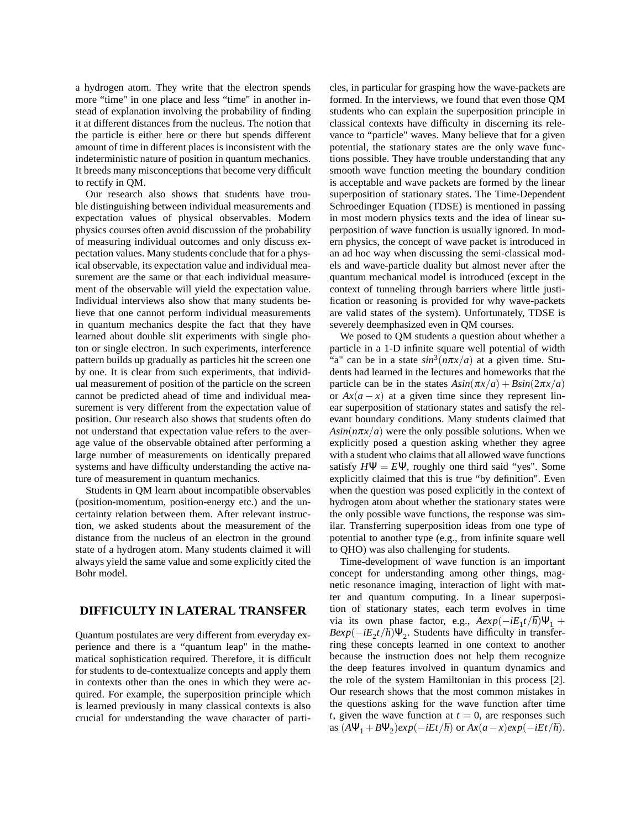a hydrogen atom. They write that the electron spends more "time" in one place and less "time" in another instead of explanation involving the probability of finding it at different distances from the nucleus. The notion that the particle is either here or there but spends different amount of time in different places is inconsistent with the indeterministic nature of position in quantum mechanics. It breeds many misconceptions that become very difficult to rectify in QM.

Our research also shows that students have trouble distinguishing between individual measurements and expectation values of physical observables. Modern physics courses often avoid discussion of the probability of measuring individual outcomes and only discuss expectation values. Many students conclude that for a physical observable, its expectation value and individual measurement are the same or that each individual measurement of the observable will yield the expectation value. Individual interviews also show that many students believe that one cannot perform individual measurements in quantum mechanics despite the fact that they have learned about double slit experiments with single photon or single electron. In such experiments, interference pattern builds up gradually as particles hit the screen one by one. It is clear from such experiments, that individual measurement of position of the particle on the screen cannot be predicted ahead of time and individual measurement is very different from the expectation value of position. Our research also shows that students often do not understand that expectation value refers to the average value of the observable obtained after performing a large number of measurements on identically prepared systems and have difficulty understanding the active nature of measurement in quantum mechanics.

Students in QM learn about incompatible observables (position-momentum, position-energy etc.) and the uncertainty relation between them. After relevant instruction, we asked students about the measurement of the distance from the nucleus of an electron in the ground state of a hydrogen atom. Many students claimed it will always yield the same value and some explicitly cited the Bohr model.

#### **DIFFICULTY IN LATERAL TRANSFER**

Quantum postulates are very different from everyday experience and there is a "quantum leap" in the mathematical sophistication required. Therefore, it is difficult for students to de-contextualize concepts and apply them in contexts other than the ones in which they were acquired. For example, the superposition principle which is learned previously in many classical contexts is also crucial for understanding the wave character of particles, in particular for grasping how the wave-packets are formed. In the interviews, we found that even those QM students who can explain the superposition principle in classical contexts have difficulty in discerning its relevance to "particle" waves. Many believe that for a given potential, the stationary states are the only wave functions possible. They have trouble understanding that any smooth wave function meeting the boundary condition is acceptable and wave packets are formed by the linear superposition of stationary states. The Time-Dependent Schroedinger Equation (TDSE) is mentioned in passing in most modern physics texts and the idea of linear superposition of wave function is usually ignored. In modern physics, the concept of wave packet is introduced in an ad hoc way when discussing the semi-classical models and wave-particle duality but almost never after the quantum mechanical model is introduced (except in the context of tunneling through barriers where little justification or reasoning is provided for why wave-packets are valid states of the system). Unfortunately, TDSE is severely deemphasized even in QM courses.

We posed to QM students a question about whether a particle in a 1-D infinite square well potential of width "a" can be in a state  $sin^3(n\pi x/a)$  at a given time. Students had learned in the lectures and homeworks that the particle can be in the states  $Asin(\pi x/a) + Bsin(2\pi x/a)$ or  $Ax(a - x)$  at a given time since they represent linear superposition of stationary states and satisfy the relevant boundary conditions. Many students claimed that  $Asin(n\pi x/a)$  were the only possible solutions. When we explicitly posed a question asking whether they agree with a student who claims that all allowed wave functions satisfy  $H\Psi = E\Psi$ , roughly one third said "yes". Some explicitly claimed that this is true "by definition". Even when the question was posed explicitly in the context of hydrogen atom about whether the stationary states were the only possible wave functions, the response was similar. Transferring superposition ideas from one type of potential to another type (e.g., from infinite square well to QHO) was also challenging for students.

Time-development of wave function is an important concept for understanding among other things, magnetic resonance imaging, interaction of light with matter and quantum computing. In a linear superposition of stationary states, each term evolves in time via its own phase factor, e.g.,  $Aexp(-iE_1t/\hbar)\Psi_1 +$  $Bexp(-iE_2t/\hbar)\Psi_2$ . Students have difficulty in transferring these concepts learned in one context to another because the instruction does not help them recognize the deep features involved in quantum dynamics and the role of the system Hamiltonian in this process [2]. Our research shows that the most common mistakes in the questions asking for the wave function after time *t*, given the wave function at  $t = 0$ , are responses such  $\int \frac{d^2y}{dx^2} = \int \frac{dy}{dx} = \int \frac{dy}{dx} = \int \frac{dy}{dx} = \int \frac{dy}{dx} = \int \frac{dy}{dx} = \int \frac{dy}{dx} = \int \frac{dy}{dx} = \int \frac{dy}{dx}$